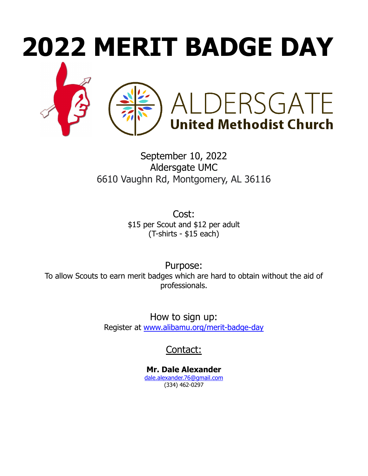

September 10, 2022 Aldersgate UMC 6610 Vaughn Rd, Montgomery, AL 36116

> Cost: \$15 per Scout and \$12 per adult (T-shirts - \$15 each)

Purpose: To allow Scouts to earn merit badges which are hard to obtain without the aid of professionals.

> How to sign up: Register at [www.alibamu.org/merit-badge-day](https://www.alibamu.org/merit-badge-day)

> > Contact:

**Mr. Dale Alexander** [dale.alexander.76@gmail.com](mailto:bazonis@gmail.com) (334) 462-0297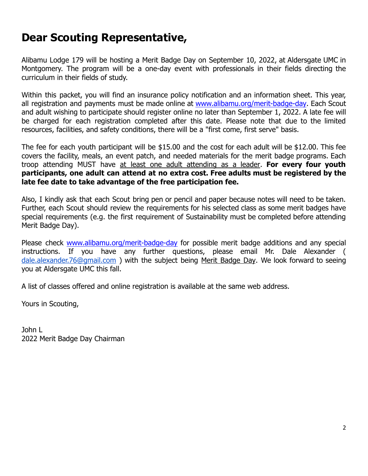## **Dear Scouting Representative,**

Alibamu Lodge 179 will be hosting a Merit Badge Day on September 10, 2022, at Aldersgate UMC in Montgomery. The program will be a one-day event with professionals in their fields directing the curriculum in their fields of study.

Within this packet, you will find an insurance policy notification and an information sheet. This year, all registration and payments must be made online at [www.alibamu.org/merit-badge-day](https://www.alibamu.org/merit-badge-day). Each Scout and adult wishing to participate should register online no later than September 1, 2022. A late fee will be charged for each registration completed after this date. Please note that due to the limited resources, facilities, and safety conditions, there will be a "first come, first serve" basis.

The fee for each youth participant will be \$15.00 and the cost for each adult will be \$12.00. This fee covers the facility, meals, an event patch, and needed materials for the merit badge programs. Each troop attending MUST have at least one adult attending as a leader. **For every four youth participants, one adult can attend at no extra cost. Free adults must be registered by the late fee date to take advantage of the free participation fee.**

Also, I kindly ask that each Scout bring pen or pencil and paper because notes will need to be taken. Further, each Scout should review the requirements for his selected class as some merit badges have special requirements (e.g. the first requirement of Sustainability must be completed before attending Merit Badge Day).

Please check [www.alibamu.org/merit-badge-day](http://www.alibamu.org/merit-badge-day) for possible merit badge additions and any special instructions. If you have any further questions, please email Mr. Dale Alexander ( [dale.alexander.76@gmail.com](mailto:dale.alexander.76@gmail.com) ) with the subject being Merit Badge Day. We look forward to seeing you at Aldersgate UMC this fall.

A list of classes offered and online registration is available at the same web address.

Yours in Scouting,

John L 2022 Merit Badge Day Chairman